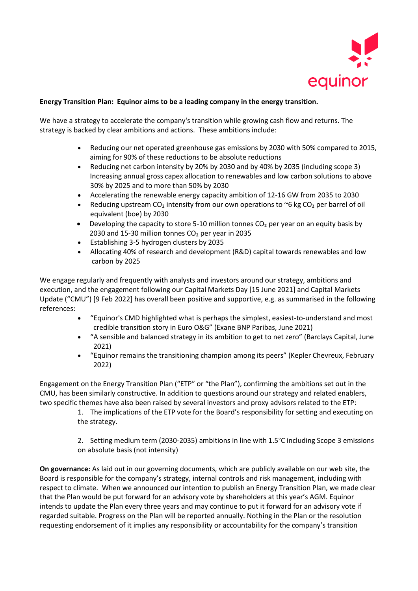

## **Energy Transition Plan: Equinor aims to be a leading company in the energy transition.**

We have a strategy to accelerate the company's transition while growing cash flow and returns. The strategy is backed by clear ambitions and actions. These ambitions include:

- Reducing our net operated greenhouse gas emissions by 2030 with 50% compared to 2015, aiming for 90% of these reductions to be absolute reductions
- Reducing net carbon intensity by 20% by 2030 and by 40% by 2035 (including scope 3) Increasing annual gross capex allocation to renewables and low carbon solutions to above 30% by 2025 and to more than 50% by 2030
- Accelerating the renewable energy capacity ambition of 12-16 GW from 2035 to 2030
- Reducing upstream CO<sub>2</sub> intensity from our own operations to ~6 kg CO<sub>2</sub> per barrel of oil equivalent (boe) by 2030
- Developing the capacity to store 5-10 million tonnes  $CO<sub>2</sub>$  per year on an equity basis by 2030 and 15-30 million tonnes CO<sub>2</sub> per year in 2035
- Establishing 3-5 hydrogen clusters by 2035
- Allocating 40% of research and development (R&D) capital towards renewables and low carbon by 2025

We engage regularly and frequently with analysts and investors around our strategy, ambitions and execution, and the engagement following our Capital Markets Day [15 June 2021] and Capital Markets Update ("CMU") [9 Feb 2022] has overall been positive and supportive, e.g. as summarised in the following references:

- "Equinor's CMD highlighted what is perhaps the simplest, easiest-to-understand and most credible transition story in Euro O&G" (Exane BNP Paribas, June 2021)
- "A sensible and balanced strategy in its ambition to get to net zero" (Barclays Capital, June 2021)
- "Equinor remains the transitioning champion among its peers" (Kepler Chevreux, February 2022)

Engagement on the Energy Transition Plan ("ETP" or "the Plan"), confirming the ambitions set out in the CMU, has been similarly constructive. In addition to questions around our strategy and related enablers, two specific themes have also been raised by several investors and proxy advisors related to the ETP:

> 1. The implications of the ETP vote for the Board's responsibility for setting and executing on the strategy.

> 2. Setting medium term (2030-2035) ambitions in line with 1.5°C including Scope 3 emissions on absolute basis (not intensity)

**On governance:** As laid out in our governing documents, which are publicly available on our web site, the Board is responsible for the company's strategy, internal controls and risk management, including with respect to climate. When we announced our intention to publish an Energy Transition Plan, we made clear that the Plan would be put forward for an advisory vote by shareholders at this year's AGM. Equinor intends to update the Plan every three years and may continue to put it forward for an advisory vote if regarded suitable. Progress on the Plan will be reported annually. Nothing in the Plan or the resolution requesting endorsement of it implies any responsibility or accountability for the company's transition